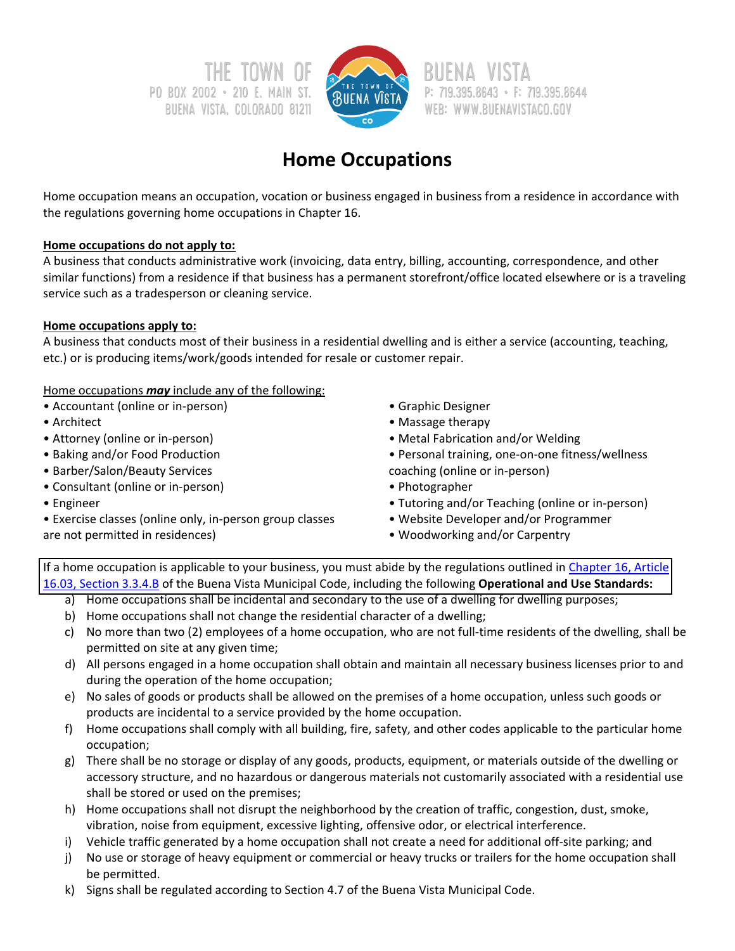PO BOX 2002 · 210 E. MAIN ST. **BUENA VISTA, COLORADO 81211** 



P: 719.395.8643 · F: 719.395.8644 WEB: WWW.BUENAVISTACO.GOV

# **Home Occupations**

Home occupation means an occupation, vocation or business engaged in business from a residence in accordance with the regulations governing home occupations in Chapter 16.

### **Home occupations do not apply to:**

A business that conducts administrative work (invoicing, data entry, billing, accounting, correspondence, and other similar functions) from a residence if that business has a permanent storefront/office located elsewhere or is a traveling service such as a tradesperson or cleaning service.

### **Home occupations apply to:**

A business that conducts most of their business in a residential dwelling and is either a service (accounting, teaching, etc.) or is producing items/work/goods intended for resale or customer repair.

Home occupations *may* include any of the following:

- Accountant (online or in‐person)
- Architect
- Attorney (online or in‐person)
- Baking and/or Food Production
- Barber/Salon/Beauty Services
- Consultant (online or in‐person)
- Engineer
- Exercise classes (online only, in‐person group classes are not permitted in residences)
- Graphic Designer
- Massage therapy
- Metal Fabrication and/or Welding
- Personal training, one‐on‐one fitness/wellness coaching (online or in‐person)
- Photographer
- Tutoring and/or Teaching (online or in‐person)
- Website Developer and/or Programmer
- Woodworking and/or Carpentry

If a home occupation is applicable to your business, you must abide by the regulations outlined in Chapter 16, Article 16.03, Section 3.3.4.B of the Buena Vista Municipal Code, including the following **[Operational](https://library.municode.com/co/buena%20vista/codes/municipal_code?nodeId=CH16UNDECO_ART16.03USRE_S3.3ACUSST) and Use Standards:**

- a) Home occupations shall be incidental and secondary to the use of a dwelling for dwelling purposes;
- b) Home occupations shall not change the residential character of a dwelling;
- c) No more than two (2) employees of a home occupation, who are not full‐time residents of the dwelling, shall be permitted on site at any given time;
- d) All persons engaged in a home occupation shall obtain and maintain all necessary business licenses prior to and during the operation of the home occupation;
- e) No sales of goods or products shall be allowed on the premises of a home occupation, unless such goods or products are incidental to a service provided by the home occupation.
- f) Home occupations shall comply with all building, fire, safety, and other codes applicable to the particular home occupation;
- g) There shall be no storage or display of any goods, products, equipment, or materials outside of the dwelling or accessory structure, and no hazardous or dangerous materials not customarily associated with a residential use shall be stored or used on the premises;
- h) Home occupations shall not disrupt the neighborhood by the creation of traffic, congestion, dust, smoke, vibration, noise from equipment, excessive lighting, offensive odor, or electrical interference.
- i) Vehicle traffic generated by a home occupation shall not create a need for additional off‐site parking; and
- j) No use or storage of heavy equipment or commercial or heavy trucks or trailers for the home occupation shall be permitted.
- k) Signs shall be regulated according to Section 4.7 of the Buena Vista Municipal Code.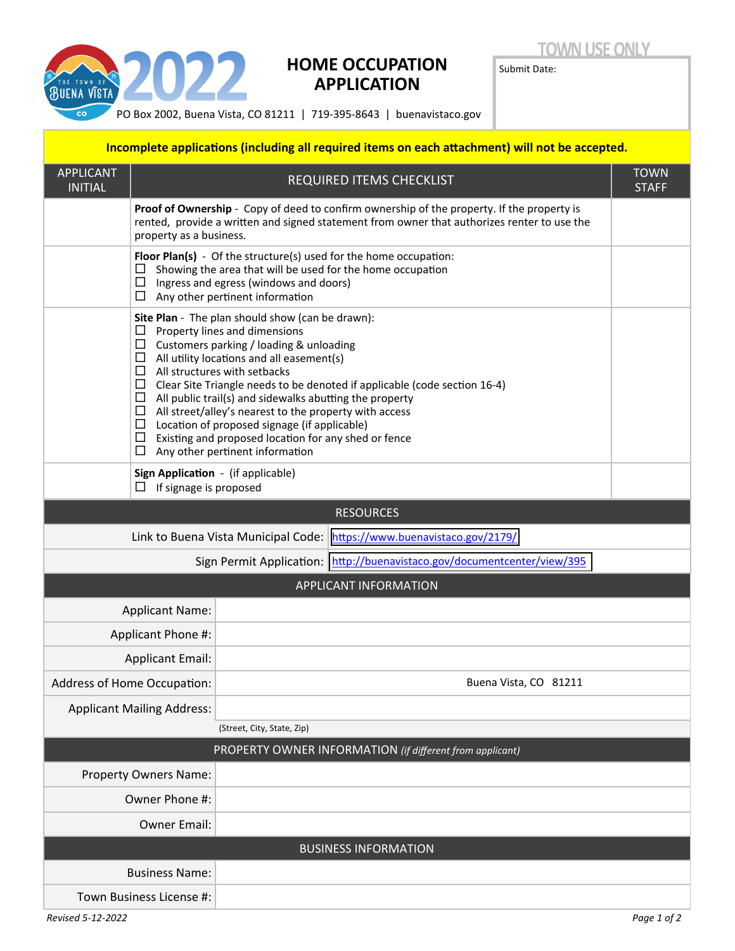

## **HOME OCCUPATION APPLICATION**

**TOWN USE ONLY** 

Submit Date:

PO Box 2002, Buena Vista, CO 81211 | 719‐395‐8643 | buenavistaco.gov

### **Incomplete applications (including all required items on each attachment) will not be accepted.**

| <b>APPLICANT</b><br><b>INITIAL</b>                                          | REQUIRED ITEMS CHECKLIST                                                                                                                                                                                                                                                                                                                                                                                                                                                                                                                                                                                                  |                       |                                                          |  |  |  |  |  |  |
|-----------------------------------------------------------------------------|---------------------------------------------------------------------------------------------------------------------------------------------------------------------------------------------------------------------------------------------------------------------------------------------------------------------------------------------------------------------------------------------------------------------------------------------------------------------------------------------------------------------------------------------------------------------------------------------------------------------------|-----------------------|----------------------------------------------------------|--|--|--|--|--|--|
|                                                                             | Proof of Ownership - Copy of deed to confirm ownership of the property. If the property is<br>rented, provide a written and signed statement from owner that authorizes renter to use the<br>property as a business.                                                                                                                                                                                                                                                                                                                                                                                                      |                       |                                                          |  |  |  |  |  |  |
|                                                                             | Floor Plan(s) - Of the structure(s) used for the home occupation:<br>Showing the area that will be used for the home occupation<br>□<br>Ingress and egress (windows and doors)<br>$\Box$ Any other pertinent information                                                                                                                                                                                                                                                                                                                                                                                                  |                       |                                                          |  |  |  |  |  |  |
|                                                                             | Site Plan - The plan should show (can be drawn):<br>□<br>Property lines and dimensions<br>□<br>Customers parking / loading & unloading<br>All utility locations and all easement(s)<br>$\Box$<br>$\Box$ All structures with setbacks<br>$\Box$ Clear Site Triangle needs to be denoted if applicable (code section 16-4)<br>$\Box$ All public trail(s) and sidewalks abutting the property<br>$\Box$ All street/alley's nearest to the property with access<br>$\Box$ Location of proposed signage (if applicable)<br>$\Box$ Existing and proposed location for any shed or fence<br>□<br>Any other pertinent information |                       |                                                          |  |  |  |  |  |  |
| Sign Application - (if applicable)<br>If signage is proposed<br>ப           |                                                                                                                                                                                                                                                                                                                                                                                                                                                                                                                                                                                                                           |                       |                                                          |  |  |  |  |  |  |
| <b>RESOURCES</b>                                                            |                                                                                                                                                                                                                                                                                                                                                                                                                                                                                                                                                                                                                           |                       |                                                          |  |  |  |  |  |  |
| Link to Buena Vista Municipal Code:<br>https://www.buenavistaco.gov/2179/   |                                                                                                                                                                                                                                                                                                                                                                                                                                                                                                                                                                                                                           |                       |                                                          |  |  |  |  |  |  |
| http://buenavistaco.gov/documentcenter/view/395<br>Sign Permit Application: |                                                                                                                                                                                                                                                                                                                                                                                                                                                                                                                                                                                                                           |                       |                                                          |  |  |  |  |  |  |
| APPLICANT INFORMATION                                                       |                                                                                                                                                                                                                                                                                                                                                                                                                                                                                                                                                                                                                           |                       |                                                          |  |  |  |  |  |  |
| <b>Applicant Name:</b>                                                      |                                                                                                                                                                                                                                                                                                                                                                                                                                                                                                                                                                                                                           |                       |                                                          |  |  |  |  |  |  |
| Applicant Phone #:                                                          |                                                                                                                                                                                                                                                                                                                                                                                                                                                                                                                                                                                                                           |                       |                                                          |  |  |  |  |  |  |
| <b>Applicant Email:</b>                                                     |                                                                                                                                                                                                                                                                                                                                                                                                                                                                                                                                                                                                                           |                       |                                                          |  |  |  |  |  |  |
| Address of Home Occupation:                                                 |                                                                                                                                                                                                                                                                                                                                                                                                                                                                                                                                                                                                                           | Buena Vista, CO 81211 |                                                          |  |  |  |  |  |  |
| <b>Applicant Mailing Address:</b>                                           |                                                                                                                                                                                                                                                                                                                                                                                                                                                                                                                                                                                                                           |                       |                                                          |  |  |  |  |  |  |
| (Street, City, State, Zip)                                                  |                                                                                                                                                                                                                                                                                                                                                                                                                                                                                                                                                                                                                           |                       |                                                          |  |  |  |  |  |  |
|                                                                             |                                                                                                                                                                                                                                                                                                                                                                                                                                                                                                                                                                                                                           |                       | PROPERTY OWNER INFORMATION (if different from applicant) |  |  |  |  |  |  |
| Property Owners Name:                                                       |                                                                                                                                                                                                                                                                                                                                                                                                                                                                                                                                                                                                                           |                       |                                                          |  |  |  |  |  |  |
| Owner Phone #:                                                              |                                                                                                                                                                                                                                                                                                                                                                                                                                                                                                                                                                                                                           |                       |                                                          |  |  |  |  |  |  |
| <b>Owner Email:</b>                                                         |                                                                                                                                                                                                                                                                                                                                                                                                                                                                                                                                                                                                                           |                       |                                                          |  |  |  |  |  |  |
|                                                                             |                                                                                                                                                                                                                                                                                                                                                                                                                                                                                                                                                                                                                           |                       | <b>BUSINESS INFORMATION</b>                              |  |  |  |  |  |  |
| <b>Business Name:</b>                                                       |                                                                                                                                                                                                                                                                                                                                                                                                                                                                                                                                                                                                                           |                       |                                                          |  |  |  |  |  |  |
| Town Business License #:                                                    |                                                                                                                                                                                                                                                                                                                                                                                                                                                                                                                                                                                                                           |                       |                                                          |  |  |  |  |  |  |